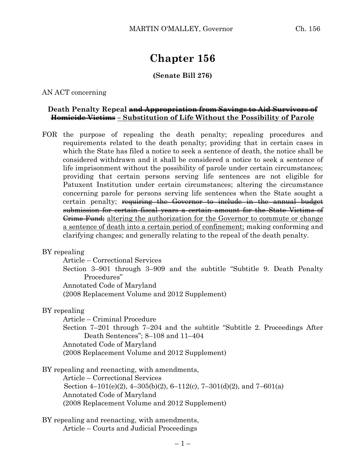# **Chapter 156**

# **(Senate Bill 276)**

AN ACT concerning

# **Death Penalty Repeal and Appropriation from Savings to Aid Survivors of Homicide Victims – Substitution of Life Without the Possibility of Parole**

FOR the purpose of repealing the death penalty; repealing procedures and requirements related to the death penalty; providing that in certain cases in which the State has filed a notice to seek a sentence of death, the notice shall be considered withdrawn and it shall be considered a notice to seek a sentence of life imprisonment without the possibility of parole under certain circumstances; providing that certain persons serving life sentences are not eligible for Patuxent Institution under certain circumstances; altering the circumstance concerning parole for persons serving life sentences when the State sought a certain penalty; requiring the Governor to include in the annual budget submission for certain fiscal years a certain amount for the State Victims of Grime Fund; altering the authorization for the Governor to commute or change a sentence of death into a certain period of confinement; making conforming and clarifying changes; and generally relating to the repeal of the death penalty.

# BY repealing

Article – Correctional Services

Section 3–901 through 3–909 and the subtitle "Subtitle 9. Death Penalty Procedures"

Annotated Code of Maryland

(2008 Replacement Volume and 2012 Supplement)

# BY repealing

Article – Criminal Procedure

Section 7–201 through 7–204 and the subtitle "Subtitle 2. Proceedings After Death Sentences"; 8–108 and 11–404

Annotated Code of Maryland

(2008 Replacement Volume and 2012 Supplement)

BY repealing and reenacting, with amendments, Article – Correctional Services Section  $4-101(e)(2)$ ,  $4-305(b)(2)$ ,  $6-112(e)$ ,  $7-301(d)(2)$ , and  $7-601(a)$ Annotated Code of Maryland (2008 Replacement Volume and 2012 Supplement)

BY repealing and reenacting, with amendments,

Article – Courts and Judicial Proceedings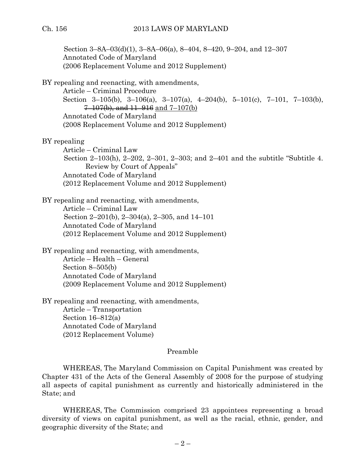Section 3–8A–03(d)(1), 3–8A–06(a), 8–404, 8–420, 9–204, and 12–307 Annotated Code of Maryland (2006 Replacement Volume and 2012 Supplement)

BY repealing and reenacting, with amendments,

Article – Criminal Procedure Section 3-105(b), 3-106(a), 3-107(a), 4-204(b), 5-101(c), 7-101, 7-103(b), 7–107(b), and 11–916 and 7–107(b)

Annotated Code of Maryland (2008 Replacement Volume and 2012 Supplement)

BY repealing

Article – Criminal Law Section 2–103(h), 2–202, 2–301, 2–303; and 2–401 and the subtitle "Subtitle 4. Review by Court of Appeals" Annotated Code of Maryland (2012 Replacement Volume and 2012 Supplement)

BY repealing and reenacting, with amendments, Article – Criminal Law Section 2–201(b), 2–304(a), 2–305, and 14–101 Annotated Code of Maryland (2012 Replacement Volume and 2012 Supplement)

BY repealing and reenacting, with amendments, Article – Health – General Section 8–505(b) Annotated Code of Maryland (2009 Replacement Volume and 2012 Supplement)

BY repealing and reenacting, with amendments, Article – Transportation Section 16–812(a) Annotated Code of Maryland (2012 Replacement Volume)

# Preamble

WHEREAS, The Maryland Commission on Capital Punishment was created by Chapter 431 of the Acts of the General Assembly of 2008 for the purpose of studying all aspects of capital punishment as currently and historically administered in the State; and

WHEREAS, The Commission comprised 23 appointees representing a broad diversity of views on capital punishment, as well as the racial, ethnic, gender, and geographic diversity of the State; and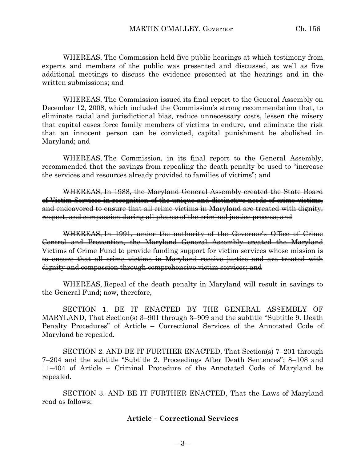WHEREAS, The Commission held five public hearings at which testimony from experts and members of the public was presented and discussed, as well as five additional meetings to discuss the evidence presented at the hearings and in the written submissions; and

WHEREAS, The Commission issued its final report to the General Assembly on December 12, 2008, which included the Commission's strong recommendation that, to eliminate racial and jurisdictional bias, reduce unnecessary costs, lessen the misery that capital cases force family members of victims to endure, and eliminate the risk that an innocent person can be convicted, capital punishment be abolished in Maryland; and

WHEREAS, The Commission, in its final report to the General Assembly, recommended that the savings from repealing the death penalty be used to "increase the services and resources already provided to families of victims"; and

WHEREAS, In 1988, the Maryland General Assembly created the State Board of Victim Services in recognition of the unique and distinctive needs of crime victims, and endeavored to ensure that all crime victims in Maryland are treated with dignity, respect, and compassion during all phases of the criminal justice process; and

WHEREAS, In 1991, under the authority of the Governor's Office of Crime Control and Prevention, the Maryland General Assembly created the Maryland Victims of Crime Fund to provide funding support for victim services whose mission is to ensure that all crime victims in Maryland receive justice and are treated with dignity and compassion through comprehensive victim services; and

WHEREAS, Repeal of the death penalty in Maryland will result in savings to the General Fund; now, therefore,

SECTION 1. BE IT ENACTED BY THE GENERAL ASSEMBLY OF MARYLAND, That Section(s) 3–901 through 3–909 and the subtitle "Subtitle 9. Death Penalty Procedures" of Article – Correctional Services of the Annotated Code of Maryland be repealed.

SECTION 2. AND BE IT FURTHER ENACTED, That Section(s) 7–201 through 7–204 and the subtitle "Subtitle 2. Proceedings After Death Sentences"; 8–108 and 11–404 of Article – Criminal Procedure of the Annotated Code of Maryland be repealed.

SECTION 3. AND BE IT FURTHER ENACTED, That the Laws of Maryland read as follows:

# **Article – Correctional Services**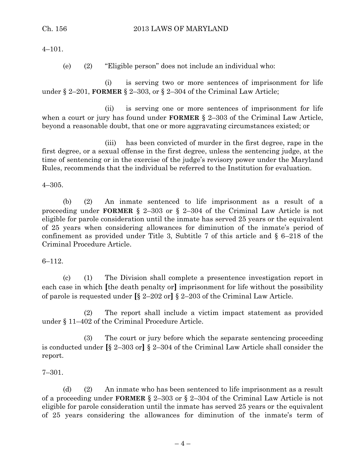4–101.

(e) (2) "Eligible person" does not include an individual who:

(i) is serving two or more sentences of imprisonment for life under § 2–201, **FORMER** § 2–303, or § 2–304 of the Criminal Law Article;

(ii) is serving one or more sentences of imprisonment for life when a court or jury has found under **FORMER** § 2–303 of the Criminal Law Article, beyond a reasonable doubt, that one or more aggravating circumstances existed; or

(iii) has been convicted of murder in the first degree, rape in the first degree, or a sexual offense in the first degree, unless the sentencing judge, at the time of sentencing or in the exercise of the judge's revisory power under the Maryland Rules, recommends that the individual be referred to the Institution for evaluation.

4–305.

(b) (2) An inmate sentenced to life imprisonment as a result of a proceeding under **FORMER** § 2–303 or § 2–304 of the Criminal Law Article is not eligible for parole consideration until the inmate has served 25 years or the equivalent of 25 years when considering allowances for diminution of the inmate's period of confinement as provided under Title 3, Subtitle 7 of this article and § 6–218 of the Criminal Procedure Article.

# 6–112.

(c) (1) The Division shall complete a presentence investigation report in each case in which **[**the death penalty or**]** imprisonment for life without the possibility of parole is requested under **[**§ 2–202 or**]** § 2–203 of the Criminal Law Article.

(2) The report shall include a victim impact statement as provided under § 11–402 of the Criminal Procedure Article.

(3) The court or jury before which the separate sentencing proceeding is conducted under **[**§ 2–303 or**]** § 2–304 of the Criminal Law Article shall consider the report.

7–301.

(d) (2) An inmate who has been sentenced to life imprisonment as a result of a proceeding under **FORMER** § 2–303 or § 2–304 of the Criminal Law Article is not eligible for parole consideration until the inmate has served 25 years or the equivalent of 25 years considering the allowances for diminution of the inmate's term of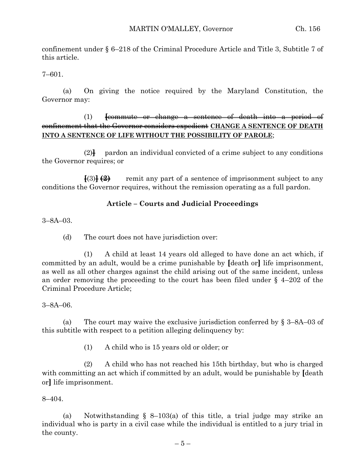confinement under § 6–218 of the Criminal Procedure Article and Title 3, Subtitle 7 of this article.

7–601.

(a) On giving the notice required by the Maryland Constitution, the Governor may:

# (1) **[**commute or change a sentence of death into a period of confinement that the Governor considers expedient **CHANGE A SENTENCE OF DEATH INTO A SENTENCE OF LIFE WITHOUT THE POSSIBILITY OF PAROLE**;

 $(2)$  pardon an individual convicted of a crime subject to any conditions the Governor requires; or

**[**(3)**] (2)** remit any part of a sentence of imprisonment subject to any conditions the Governor requires, without the remission operating as a full pardon.

# **Article – Courts and Judicial Proceedings**

3–8A–03.

(d) The court does not have jurisdiction over:

(1) A child at least 14 years old alleged to have done an act which, if committed by an adult, would be a crime punishable by **[**death or**]** life imprisonment, as well as all other charges against the child arising out of the same incident, unless an order removing the proceeding to the court has been filed under § 4–202 of the Criminal Procedure Article;

3–8A–06.

(a) The court may waive the exclusive jurisdiction conferred by  $\S 3-8A-03$  of this subtitle with respect to a petition alleging delinquency by:

(1) A child who is 15 years old or older; or

(2) A child who has not reached his 15th birthday, but who is charged with committing an act which if committed by an adult, would be punishable by **[**death or**]** life imprisonment.

8–404.

(a) Notwithstanding § 8–103(a) of this title, a trial judge may strike an individual who is party in a civil case while the individual is entitled to a jury trial in the county.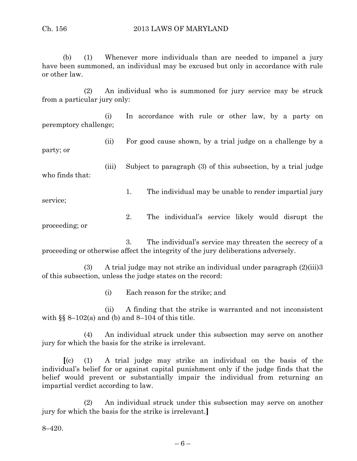(b) (1) Whenever more individuals than are needed to impanel a jury have been summoned, an individual may be excused but only in accordance with rule or other law.

(2) An individual who is summoned for jury service may be struck from a particular jury only:

(i) In accordance with rule or other law, by a party on peremptory challenge;

(ii) For good cause shown, by a trial judge on a challenge by a party; or

(iii) Subject to paragraph (3) of this subsection, by a trial judge who finds that:

- 1. The individual may be unable to render impartial jury service;
- 2. The individual's service likely would disrupt the proceeding; or

3. The individual's service may threaten the secrecy of a proceeding or otherwise affect the integrity of the jury deliberations adversely.

(3) A trial judge may not strike an individual under paragraph  $(2)(iii)3$ of this subsection, unless the judge states on the record:

(i) Each reason for the strike; and

(ii) A finding that the strike is warranted and not inconsistent with  $\S$  8-102(a) and (b) and 8-104 of this title.

(4) An individual struck under this subsection may serve on another jury for which the basis for the strike is irrelevant.

**[**(c) (1) A trial judge may strike an individual on the basis of the individual's belief for or against capital punishment only if the judge finds that the belief would prevent or substantially impair the individual from returning an impartial verdict according to law.

(2) An individual struck under this subsection may serve on another jury for which the basis for the strike is irrelevant.**]**

8–420.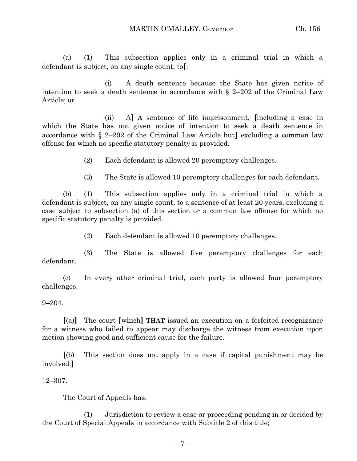(a) (1) This subsection applies only in a criminal trial in which a defendant is subject, on any single count, to**[**:

(i) A death sentence because the State has given notice of intention to seek a death sentence in accordance with § 2–202 of the Criminal Law Article; or

(ii) A**] A** sentence of life imprisonment, **[**including a case in which the State has not given notice of intention to seek a death sentence in accordance with § 2–202 of the Criminal Law Article but**]** excluding a common law offense for which no specific statutory penalty is provided.

(2) Each defendant is allowed 20 peremptory challenges.

(3) The State is allowed 10 peremptory challenges for each defendant.

(b) (1) This subsection applies only in a criminal trial in which a defendant is subject, on any single count, to a sentence of at least 20 years, excluding a case subject to subsection (a) of this section or a common law offense for which no specific statutory penalty is provided.

(2) Each defendant is allowed 10 peremptory challenges.

(3) The State is allowed five peremptory challenges for each defendant.

(c) In every other criminal trial, each party is allowed four peremptory challenges.

# 9–204.

**[**(a)**]** The court **[**which**] THAT** issued an execution on a forfeited recognizance for a witness who failed to appear may discharge the witness from execution upon motion showing good and sufficient cause for the failure.

**[**(b) This section does not apply in a case if capital punishment may be involved.**]**

12–307.

The Court of Appeals has:

(1) Jurisdiction to review a case or proceeding pending in or decided by the Court of Special Appeals in accordance with Subtitle 2 of this title;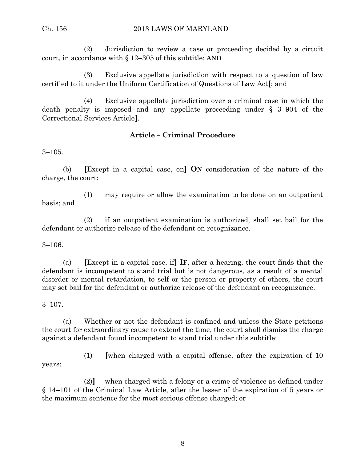(2) Jurisdiction to review a case or proceeding decided by a circuit court, in accordance with § 12–305 of this subtitle; **AND**

(3) Exclusive appellate jurisdiction with respect to a question of law certified to it under the Uniform Certification of Questions of Law Act**[**; and

(4) Exclusive appellate jurisdiction over a criminal case in which the death penalty is imposed and any appellate proceeding under § 3–904 of the Correctional Services Article**]**.

# **Article – Criminal Procedure**

3–105.

(b) **[**Except in a capital case, on**] ON** consideration of the nature of the charge, the court:

(1) may require or allow the examination to be done on an outpatient basis; and

(2) if an outpatient examination is authorized, shall set bail for the defendant or authorize release of the defendant on recognizance.

3–106.

(a) **[**Except in a capital case, if**] IF**, after a hearing, the court finds that the defendant is incompetent to stand trial but is not dangerous, as a result of a mental disorder or mental retardation, to self or the person or property of others, the court may set bail for the defendant or authorize release of the defendant on recognizance.

3–107.

(a) Whether or not the defendant is confined and unless the State petitions the court for extraordinary cause to extend the time, the court shall dismiss the charge against a defendant found incompetent to stand trial under this subtitle:

years;

(1) **[**when charged with a capital offense, after the expiration of 10

(2)**]** when charged with a felony or a crime of violence as defined under § 14–101 of the Criminal Law Article, after the lesser of the expiration of 5 years or the maximum sentence for the most serious offense charged; or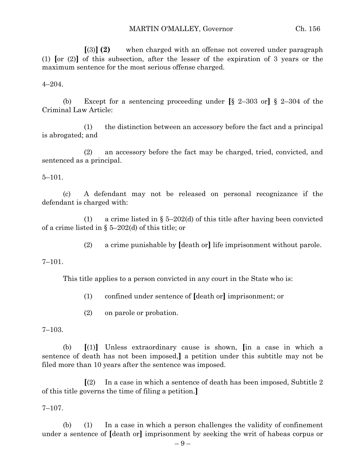**[**(3)**] (2)** when charged with an offense not covered under paragraph (1) **[**or (2)**]** of this subsection, after the lesser of the expiration of 3 years or the maximum sentence for the most serious offense charged.

4–204.

(b) Except for a sentencing proceeding under **[**§ 2–303 or**]** § 2–304 of the Criminal Law Article:

(1) the distinction between an accessory before the fact and a principal is abrogated; and

(2) an accessory before the fact may be charged, tried, convicted, and sentenced as a principal.

5–101.

(c) A defendant may not be released on personal recognizance if the defendant is charged with:

(1) a crime listed in  $\S 5-202$  (d) of this title after having been convicted of a crime listed in  $\S$  5–202(d) of this title; or

(2) a crime punishable by **[**death or**]** life imprisonment without parole.

#### 7–101.

This title applies to a person convicted in any court in the State who is:

(1) confined under sentence of **[**death or**]** imprisonment; or

(2) on parole or probation.

7–103.

(b) **[**(1)**]** Unless extraordinary cause is shown, **[**in a case in which a sentence of death has not been imposed,**]** a petition under this subtitle may not be filed more than 10 years after the sentence was imposed.

**[**(2) In a case in which a sentence of death has been imposed, Subtitle 2 of this title governs the time of filing a petition.**]**

# 7–107.

(b) (1) In a case in which a person challenges the validity of confinement under a sentence of **[**death or**]** imprisonment by seeking the writ of habeas corpus or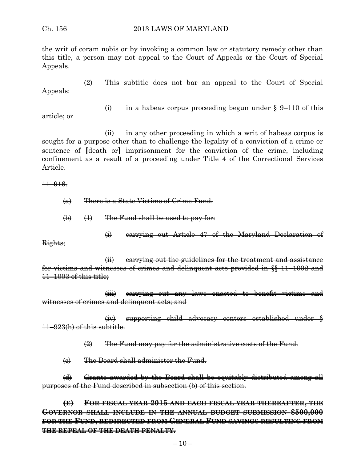the writ of coram nobis or by invoking a common law or statutory remedy other than this title, a person may not appeal to the Court of Appeals or the Court of Special Appeals.

(2) This subtitle does not bar an appeal to the Court of Special Appeals:

(i) in a habeas corpus proceeding begun under  $\S$  9–110 of this

article; or

(ii) in any other proceeding in which a writ of habeas corpus is sought for a purpose other than to challenge the legality of a conviction of a crime or sentence of **[**death or**]** imprisonment for the conviction of the crime, including confinement as a result of a proceeding under Title 4 of the Correctional Services Article.

11–916.

- (a) There is a State Victims of Crime Fund.
- $\left(\frac{1}{1}\right)$  The Fund shall be used to pay for:

(i) carrying out Article 47 of the Maryland Declaration of Rights;

(ii) carrying out the guidelines for the treatment and assistance for victims and witnesses of crimes and delinquent acts provided in §§ 11–1002 and 11–1003 of this title;

(iii) carrying out any laws enacted to benefit victims and witnesses of crimes and delinquent acts; and

(iv) supporting child advocacy centers established under § 11–923(h) of this subtitle.

 $\left( 2\right)$  The Fund may pay for the administrative costs of the Fund.

(c) The Board shall administer the Fund.

(d) Grants awarded by the Board shall be equitably distributed among all purposes of the Fund described in subsection (b) of this section.

**(E) FOR FISCAL YEAR 2015 AND EACH FISCAL YEAR THEREAFTER, THE GOVERNOR SHALL INCLUDE IN THE ANNUAL BUDGET SUBMISSION \$500,000 FOR THE FUND, REDIRECTED FROM GENERAL FUND SAVINGS RESULTING FROM THE REPEAL OF THE DEATH PENALTY.**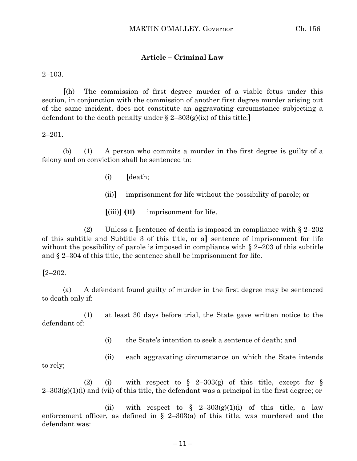# **Article – Criminal Law**

2–103.

**[**(h) The commission of first degree murder of a viable fetus under this section, in conjunction with the commission of another first degree murder arising out of the same incident, does not constitute an aggravating circumstance subjecting a defendant to the death penalty under § 2–303(g)(ix) of this title.**]**

2–201.

(b) (1) A person who commits a murder in the first degree is guilty of a felony and on conviction shall be sentenced to:

- (i) **[**death;
- (ii)**]** imprisonment for life without the possibility of parole; or
- **[**(iii)**] (II)** imprisonment for life.

(2) Unless a **[**sentence of death is imposed in compliance with § 2–202 of this subtitle and Subtitle 3 of this title, or a**]** sentence of imprisonment for life without the possibility of parole is imposed in compliance with  $\S 2-203$  of this subtitle and § 2–304 of this title, the sentence shall be imprisonment for life.

**[**2–202.

(a) A defendant found guilty of murder in the first degree may be sentenced to death only if:

(1) at least 30 days before trial, the State gave written notice to the defendant of:

- (i) the State's intention to seek a sentence of death; and
- (ii) each aggravating circumstance on which the State intends

to rely;

(2) (i) with respect to  $\S$  2-303(g) of this title, except for  $\S$  $2-303(g)(1)(i)$  and (vii) of this title, the defendant was a principal in the first degree; or

(ii) with respect to  $\frac{6}{9}$  2–303(g)(1)(i) of this title, a law enforcement officer, as defined in  $\S$  2-303(a) of this title, was murdered and the defendant was: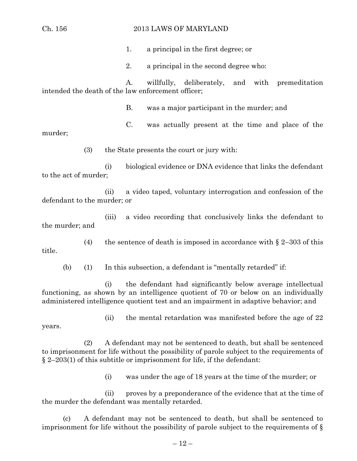#### Ch. 156 2013 LAWS OF MARYLAND

1. a principal in the first degree; or

2. a principal in the second degree who:

A. willfully, deliberately, and with premeditation intended the death of the law enforcement officer;

B. was a major participant in the murder; and

C. was actually present at the time and place of the murder;

(3) the State presents the court or jury with:

(i) biological evidence or DNA evidence that links the defendant to the act of murder;

(ii) a video taped, voluntary interrogation and confession of the defendant to the murder; or

(iii) a video recording that conclusively links the defendant to the murder; and

(4) the sentence of death is imposed in accordance with  $\S 2-303$  of this title.

(b) (1) In this subsection, a defendant is "mentally retarded" if:

(i) the defendant had significantly below average intellectual functioning, as shown by an intelligence quotient of 70 or below on an individually administered intelligence quotient test and an impairment in adaptive behavior; and

years.

(ii) the mental retardation was manifested before the age of 22

(2) A defendant may not be sentenced to death, but shall be sentenced to imprisonment for life without the possibility of parole subject to the requirements of § 2–203(1) of this subtitle or imprisonment for life, if the defendant:

(i) was under the age of 18 years at the time of the murder; or

(ii) proves by a preponderance of the evidence that at the time of the murder the defendant was mentally retarded.

(c) A defendant may not be sentenced to death, but shall be sentenced to imprisonment for life without the possibility of parole subject to the requirements of §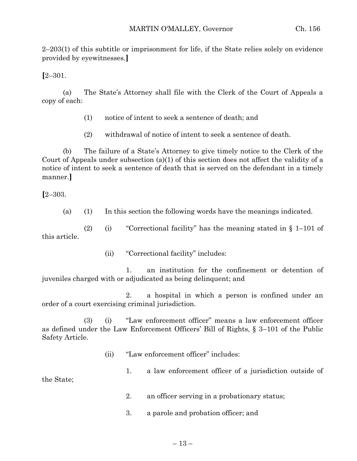2–203(1) of this subtitle or imprisonment for life, if the State relies solely on evidence provided by eyewitnesses.**]**

**[**2–301.

(a) The State's Attorney shall file with the Clerk of the Court of Appeals a copy of each:

- (1) notice of intent to seek a sentence of death; and
- (2) withdrawal of notice of intent to seek a sentence of death.

(b) The failure of a State's Attorney to give timely notice to the Clerk of the Court of Appeals under subsection (a)(1) of this section does not affect the validity of a notice of intent to seek a sentence of death that is served on the defendant in a timely manner.**]**

**[**2–303.

(a) (1) In this section the following words have the meanings indicated.

(2) (i) "Correctional facility" has the meaning stated in  $\S$  1–101 of this article.

(ii) "Correctional facility" includes:

1. an institution for the confinement or detention of juveniles charged with or adjudicated as being delinquent; and

2. a hospital in which a person is confined under an order of a court exercising criminal jurisdiction.

(3) (i) "Law enforcement officer" means a law enforcement officer as defined under the Law Enforcement Officers' Bill of Rights, § 3–101 of the Public Safety Article.

(ii) "Law enforcement officer" includes:

1. a law enforcement officer of a jurisdiction outside of the State;

2. an officer serving in a probationary status;

3. a parole and probation officer; and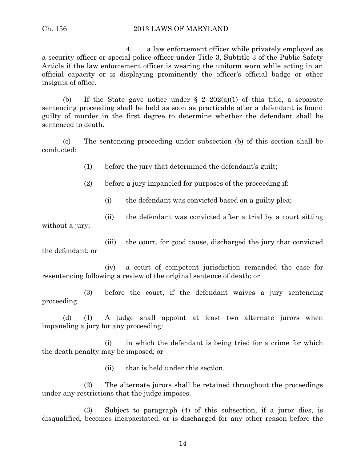4. a law enforcement officer while privately employed as a security officer or special police officer under Title 3, Subtitle 3 of the Public Safety Article if the law enforcement officer is wearing the uniform worn while acting in an official capacity or is displaying prominently the officer's official badge or other insignia of office.

(b) If the State gave notice under  $\S$  2-202(a)(1) of this title, a separate sentencing proceeding shall be held as soon as practicable after a defendant is found guilty of murder in the first degree to determine whether the defendant shall be sentenced to death.

(c) The sentencing proceeding under subsection (b) of this section shall be conducted:

(1) before the jury that determined the defendant's guilt;

(2) before a jury impaneled for purposes of the proceeding if:

(i) the defendant was convicted based on a guilty plea;

(ii) the defendant was convicted after a trial by a court sitting without a jury;

(iii) the court, for good cause, discharged the jury that convicted the defendant; or

(iv) a court of competent jurisdiction remanded the case for resentencing following a review of the original sentence of death; or

(3) before the court, if the defendant waives a jury sentencing proceeding.

(d) (1) A judge shall appoint at least two alternate jurors when impaneling a jury for any proceeding:

(i) in which the defendant is being tried for a crime for which the death penalty may be imposed; or

(ii) that is held under this section.

(2) The alternate jurors shall be retained throughout the proceedings under any restrictions that the judge imposes.

(3) Subject to paragraph (4) of this subsection, if a juror dies, is disqualified, becomes incapacitated, or is discharged for any other reason before the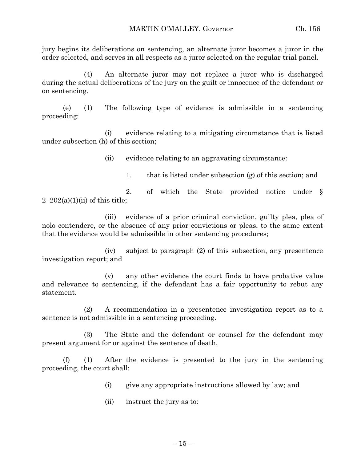jury begins its deliberations on sentencing, an alternate juror becomes a juror in the order selected, and serves in all respects as a juror selected on the regular trial panel.

(4) An alternate juror may not replace a juror who is discharged during the actual deliberations of the jury on the guilt or innocence of the defendant or on sentencing.

(e) (1) The following type of evidence is admissible in a sentencing proceeding:

(i) evidence relating to a mitigating circumstance that is listed under subsection (h) of this section;

(ii) evidence relating to an aggravating circumstance:

1. that is listed under subsection (g) of this section; and

2. of which the State provided notice under §  $2-202(a)(1)(ii)$  of this title;

(iii) evidence of a prior criminal conviction, guilty plea, plea of nolo contendere, or the absence of any prior convictions or pleas, to the same extent that the evidence would be admissible in other sentencing procedures;

(iv) subject to paragraph (2) of this subsection, any presentence investigation report; and

(v) any other evidence the court finds to have probative value and relevance to sentencing, if the defendant has a fair opportunity to rebut any statement.

(2) A recommendation in a presentence investigation report as to a sentence is not admissible in a sentencing proceeding.

(3) The State and the defendant or counsel for the defendant may present argument for or against the sentence of death.

(f) (1) After the evidence is presented to the jury in the sentencing proceeding, the court shall:

- (i) give any appropriate instructions allowed by law; and
- (ii) instruct the jury as to: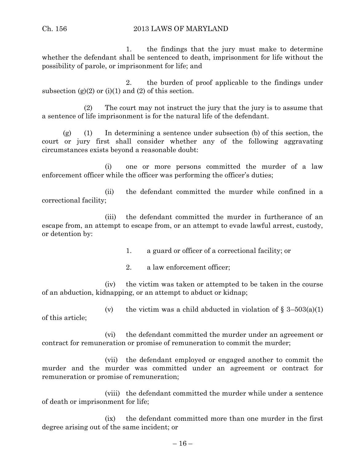### Ch. 156 2013 LAWS OF MARYLAND

1. the findings that the jury must make to determine whether the defendant shall be sentenced to death, imprisonment for life without the possibility of parole, or imprisonment for life; and

2. the burden of proof applicable to the findings under subsection  $(g)(2)$  or  $(i)(1)$  and  $(2)$  of this section.

(2) The court may not instruct the jury that the jury is to assume that a sentence of life imprisonment is for the natural life of the defendant.

 $(g)$  (1) In determining a sentence under subsection (b) of this section, the court or jury first shall consider whether any of the following aggravating circumstances exists beyond a reasonable doubt:

(i) one or more persons committed the murder of a law enforcement officer while the officer was performing the officer's duties;

(ii) the defendant committed the murder while confined in a correctional facility;

(iii) the defendant committed the murder in furtherance of an escape from, an attempt to escape from, or an attempt to evade lawful arrest, custody, or detention by:

1. a guard or officer of a correctional facility; or

2. a law enforcement officer;

(iv) the victim was taken or attempted to be taken in the course of an abduction, kidnapping, or an attempt to abduct or kidnap;

(v) the victim was a child abducted in violation of  $\S$  3–503(a)(1) of this article;

(vi) the defendant committed the murder under an agreement or contract for remuneration or promise of remuneration to commit the murder;

(vii) the defendant employed or engaged another to commit the murder and the murder was committed under an agreement or contract for remuneration or promise of remuneration;

(viii) the defendant committed the murder while under a sentence of death or imprisonment for life;

(ix) the defendant committed more than one murder in the first degree arising out of the same incident; or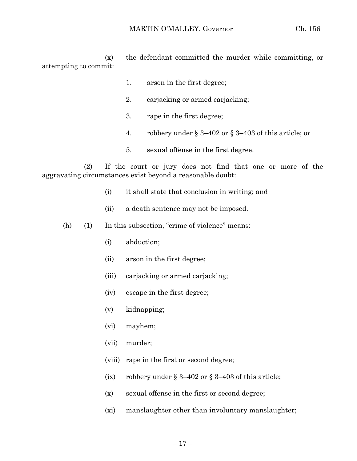(x) the defendant committed the murder while committing, or attempting to commit:

- 1. arson in the first degree;
- 2. carjacking or armed carjacking;
- 3. rape in the first degree;
- 4. robbery under § 3–402 or § 3–403 of this article; or
- 5. sexual offense in the first degree.

(2) If the court or jury does not find that one or more of the aggravating circumstances exist beyond a reasonable doubt:

- (i) it shall state that conclusion in writing; and
- (ii) a death sentence may not be imposed.
- (h) (1) In this subsection, "crime of violence" means:
	- (i) abduction;
	- (ii) arson in the first degree;
	- (iii) carjacking or armed carjacking;
	- (iv) escape in the first degree;
	- (v) kidnapping;
	- (vi) mayhem;
	- (vii) murder;
	- (viii) rape in the first or second degree;
	- (ix) robbery under  $\S 3-402$  or  $\S 3-403$  of this article;
	- (x) sexual offense in the first or second degree;
	- (xi) manslaughter other than involuntary manslaughter;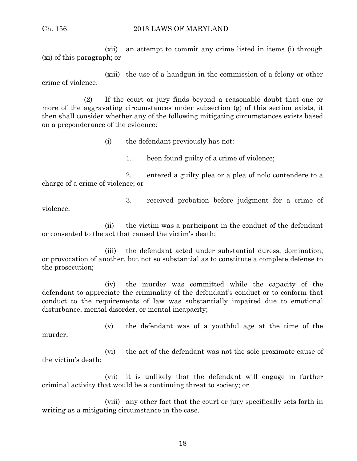(xii) an attempt to commit any crime listed in items (i) through (xi) of this paragraph; or

(xiii) the use of a handgun in the commission of a felony or other crime of violence.

(2) If the court or jury finds beyond a reasonable doubt that one or more of the aggravating circumstances under subsection (g) of this section exists, it then shall consider whether any of the following mitigating circumstances exists based on a preponderance of the evidence:

(i) the defendant previously has not:

1. been found guilty of a crime of violence;

2. entered a guilty plea or a plea of nolo contendere to a charge of a crime of violence; or

3. received probation before judgment for a crime of violence;

(ii) the victim was a participant in the conduct of the defendant or consented to the act that caused the victim's death;

(iii) the defendant acted under substantial duress, domination, or provocation of another, but not so substantial as to constitute a complete defense to the prosecution;

(iv) the murder was committed while the capacity of the defendant to appreciate the criminality of the defendant's conduct or to conform that conduct to the requirements of law was substantially impaired due to emotional disturbance, mental disorder, or mental incapacity;

murder;

(v) the defendant was of a youthful age at the time of the

(vi) the act of the defendant was not the sole proximate cause of the victim's death;

(vii) it is unlikely that the defendant will engage in further criminal activity that would be a continuing threat to society; or

(viii) any other fact that the court or jury specifically sets forth in writing as a mitigating circumstance in the case.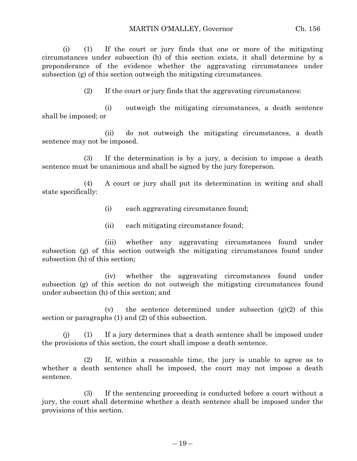(i) (1) If the court or jury finds that one or more of the mitigating circumstances under subsection (h) of this section exists, it shall determine by a preponderance of the evidence whether the aggravating circumstances under subsection (g) of this section outweigh the mitigating circumstances.

(2) If the court or jury finds that the aggravating circumstances:

(i) outweigh the mitigating circumstances, a death sentence shall be imposed; or

(ii) do not outweigh the mitigating circumstances, a death sentence may not be imposed.

(3) If the determination is by a jury, a decision to impose a death sentence must be unanimous and shall be signed by the jury foreperson.

(4) A court or jury shall put its determination in writing and shall state specifically:

- (i) each aggravating circumstance found;
- (ii) each mitigating circumstance found;

(iii) whether any aggravating circumstances found under subsection (g) of this section outweigh the mitigating circumstances found under subsection (h) of this section;

(iv) whether the aggravating circumstances found under subsection (g) of this section do not outweigh the mitigating circumstances found under subsection (h) of this section; and

(v) the sentence determined under subsection  $(g)(2)$  of this section or paragraphs (1) and (2) of this subsection.

(j) (1) If a jury determines that a death sentence shall be imposed under the provisions of this section, the court shall impose a death sentence.

(2) If, within a reasonable time, the jury is unable to agree as to whether a death sentence shall be imposed, the court may not impose a death sentence.

(3) If the sentencing proceeding is conducted before a court without a jury, the court shall determine whether a death sentence shall be imposed under the provisions of this section.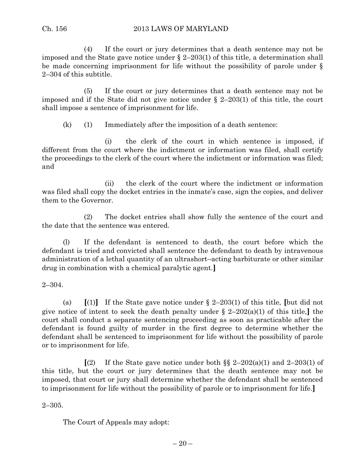(4) If the court or jury determines that a death sentence may not be imposed and the State gave notice under  $\S$  2–203(1) of this title, a determination shall be made concerning imprisonment for life without the possibility of parole under § 2–304 of this subtitle.

(5) If the court or jury determines that a death sentence may not be imposed and if the State did not give notice under  $\S$  2–203(1) of this title, the court shall impose a sentence of imprisonment for life.

(k) (1) Immediately after the imposition of a death sentence:

(i) the clerk of the court in which sentence is imposed, if different from the court where the indictment or information was filed, shall certify the proceedings to the clerk of the court where the indictment or information was filed; and

(ii) the clerk of the court where the indictment or information was filed shall copy the docket entries in the inmate's case, sign the copies, and deliver them to the Governor.

(2) The docket entries shall show fully the sentence of the court and the date that the sentence was entered.

(l) If the defendant is sentenced to death, the court before which the defendant is tried and convicted shall sentence the defendant to death by intravenous administration of a lethal quantity of an ultrashort–acting barbiturate or other similar drug in combination with a chemical paralytic agent.**]**

2–304.

(a) **[**(1)**]** If the State gave notice under § 2–203(1) of this title, **[**but did not give notice of intent to seek the death penalty under § 2–202(a)(1) of this title,**]** the court shall conduct a separate sentencing proceeding as soon as practicable after the defendant is found guilty of murder in the first degree to determine whether the defendant shall be sentenced to imprisonment for life without the possibility of parole or to imprisonment for life.

**[(2)** If the State gave notice under both  $\S$   $\frac{2-202(a)(1)}{2}$  and  $\frac{2-203(1)}{2}$  of this title, but the court or jury determines that the death sentence may not be imposed, that court or jury shall determine whether the defendant shall be sentenced to imprisonment for life without the possibility of parole or to imprisonment for life.**]**

 $2 - 305.$ 

The Court of Appeals may adopt: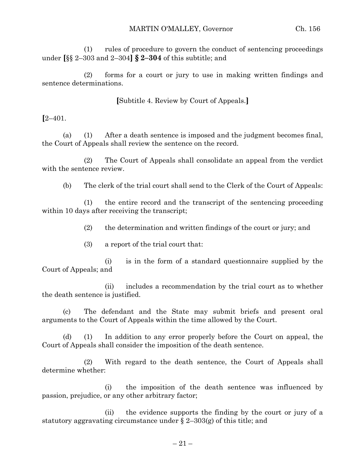(1) rules of procedure to govern the conduct of sentencing proceedings under **[**§§ 2–303 and 2–304**] § 2–304** of this subtitle; and

(2) forms for a court or jury to use in making written findings and sentence determinations.

**[**Subtitle 4. Review by Court of Appeals.**]**

**[**2–401.

(a) (1) After a death sentence is imposed and the judgment becomes final, the Court of Appeals shall review the sentence on the record.

(2) The Court of Appeals shall consolidate an appeal from the verdict with the sentence review.

(b) The clerk of the trial court shall send to the Clerk of the Court of Appeals:

(1) the entire record and the transcript of the sentencing proceeding within 10 days after receiving the transcript;

(2) the determination and written findings of the court or jury; and

(3) a report of the trial court that:

(i) is in the form of a standard questionnaire supplied by the Court of Appeals; and

(ii) includes a recommendation by the trial court as to whether the death sentence is justified.

(c) The defendant and the State may submit briefs and present oral arguments to the Court of Appeals within the time allowed by the Court.

(d) (1) In addition to any error properly before the Court on appeal, the Court of Appeals shall consider the imposition of the death sentence.

(2) With regard to the death sentence, the Court of Appeals shall determine whether:

(i) the imposition of the death sentence was influenced by passion, prejudice, or any other arbitrary factor;

(ii) the evidence supports the finding by the court or jury of a statutory aggravating circumstance under  $\S$  2–303(g) of this title; and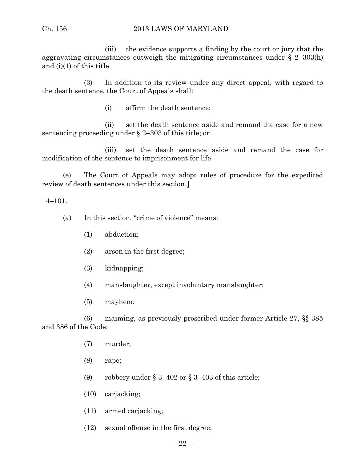### Ch. 156 2013 LAWS OF MARYLAND

(iii) the evidence supports a finding by the court or jury that the aggravating circumstances outweigh the mitigating circumstances under § 2–303(h) and (i)(1) of this title.

(3) In addition to its review under any direct appeal, with regard to the death sentence, the Court of Appeals shall:

(i) affirm the death sentence;

(ii) set the death sentence aside and remand the case for a new sentencing proceeding under § 2–303 of this title; or

(iii) set the death sentence aside and remand the case for modification of the sentence to imprisonment for life.

(e) The Court of Appeals may adopt rules of procedure for the expedited review of death sentences under this section.**]**

14–101.

- (a) In this section, "crime of violence" means:
	- (1) abduction;
	- (2) arson in the first degree;
	- (3) kidnapping;
	- (4) manslaughter, except involuntary manslaughter;
	- (5) mayhem;

(6) maiming, as previously proscribed under former Article 27, §§ 385 and 386 of the Code;

- (7) murder;
- (8) rape;
- (9) robbery under  $\S 3-402$  or  $\S 3-403$  of this article;
- (10) carjacking;
- (11) armed carjacking;
- (12) sexual offense in the first degree;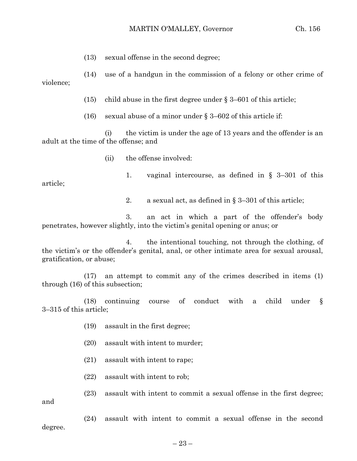(13) sexual offense in the second degree;

(14) use of a handgun in the commission of a felony or other crime of violence;

(15) child abuse in the first degree under  $\S 3-601$  of this article;

(16) sexual abuse of a minor under  $\S 3-602$  of this article if:

(i) the victim is under the age of 13 years and the offender is an adult at the time of the offense; and

(ii) the offense involved:

article;

2. a sexual act, as defined in § 3–301 of this article;

1. vaginal intercourse, as defined in § 3–301 of this

3. an act in which a part of the offender's body penetrates, however slightly, into the victim's genital opening or anus; or

4. the intentional touching, not through the clothing, of the victim's or the offender's genital, anal, or other intimate area for sexual arousal, gratification, or abuse;

(17) an attempt to commit any of the crimes described in items (1) through (16) of this subsection;

(18) continuing course of conduct with a child under § 3–315 of this article;

- (19) assault in the first degree;
- (20) assault with intent to murder;
- (21) assault with intent to rape;
- (22) assault with intent to rob;

(23) assault with intent to commit a sexual offense in the first degree; and

(24) assault with intent to commit a sexual offense in the second degree.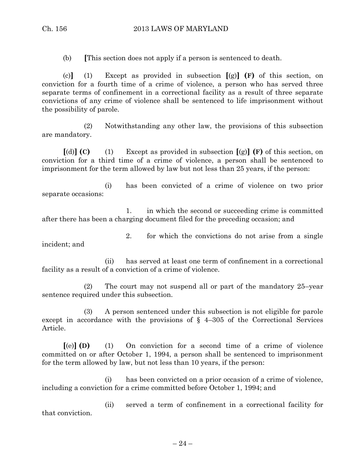(b) **[**This section does not apply if a person is sentenced to death.

(c)**]** (1) Except as provided in subsection **[**(g)**] (F)** of this section, on conviction for a fourth time of a crime of violence, a person who has served three separate terms of confinement in a correctional facility as a result of three separate convictions of any crime of violence shall be sentenced to life imprisonment without the possibility of parole.

(2) Notwithstanding any other law, the provisions of this subsection are mandatory.

 $[(d)]$  **(C)** (1) Except as provided in subsection  $[(g)]$  **(F)** of this section, on conviction for a third time of a crime of violence, a person shall be sentenced to imprisonment for the term allowed by law but not less than 25 years, if the person:

(i) has been convicted of a crime of violence on two prior separate occasions:

1. in which the second or succeeding crime is committed after there has been a charging document filed for the preceding occasion; and

incident; and

2. for which the convictions do not arise from a single

(ii) has served at least one term of confinement in a correctional facility as a result of a conviction of a crime of violence.

(2) The court may not suspend all or part of the mandatory 25–year sentence required under this subsection.

(3) A person sentenced under this subsection is not eligible for parole except in accordance with the provisions of § 4–305 of the Correctional Services Article.

**[**(e)**] (D)** (1) On conviction for a second time of a crime of violence committed on or after October 1, 1994, a person shall be sentenced to imprisonment for the term allowed by law, but not less than 10 years, if the person:

(i) has been convicted on a prior occasion of a crime of violence, including a conviction for a crime committed before October 1, 1994; and

(ii) served a term of confinement in a correctional facility for that conviction.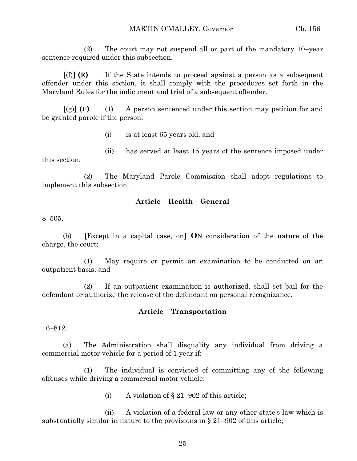(2) The court may not suspend all or part of the mandatory 10–year sentence required under this subsection.

**[**(f)**] (E)** If the State intends to proceed against a person as a subsequent offender under this section, it shall comply with the procedures set forth in the Maryland Rules for the indictment and trial of a subsequent offender.

**[**(g)**] (F)** (1) A person sentenced under this section may petition for and be granted parole if the person:

- (i) is at least 65 years old; and
- (ii) has served at least 15 years of the sentence imposed under this section.

(2) The Maryland Parole Commission shall adopt regulations to implement this subsection.

# **Article – Health – General**

8–505.

(b) **[**Except in a capital case, on**] ON** consideration of the nature of the charge, the court:

(1) May require or permit an examination to be conducted on an outpatient basis; and

(2) If an outpatient examination is authorized, shall set bail for the defendant or authorize the release of the defendant on personal recognizance.

# **Article – Transportation**

16–812.

(a) The Administration shall disqualify any individual from driving a commercial motor vehicle for a period of 1 year if:

(1) The individual is convicted of committing any of the following offenses while driving a commercial motor vehicle:

(i) A violation of § 21–902 of this article;

(ii) A violation of a federal law or any other state's law which is substantially similar in nature to the provisions in § 21–902 of this article;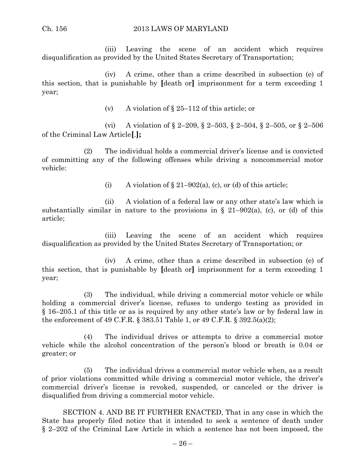(iii) Leaving the scene of an accident which requires disqualification as provided by the United States Secretary of Transportation;

(iv) A crime, other than a crime described in subsection (e) of this section, that is punishable by **[**death or**]** imprisonment for a term exceeding 1 year;

(v) A violation of § 25–112 of this article; or

(vi) A violation of § 2–209, § 2–503, § 2–504, § 2–505, or § 2–506 of the Criminal Law Article**[**.**];**

(2) The individual holds a commercial driver's license and is convicted of committing any of the following offenses while driving a noncommercial motor vehicle:

(i) A violation of  $\S 21-902(a)$ , (c), or (d) of this article;

(ii) A violation of a federal law or any other state's law which is substantially similar in nature to the provisions in  $\S$  21–902(a), (c), or (d) of this article;

(iii) Leaving the scene of an accident which requires disqualification as provided by the United States Secretary of Transportation; or

(iv) A crime, other than a crime described in subsection (e) of this section, that is punishable by **[**death or**]** imprisonment for a term exceeding 1 year;

(3) The individual, while driving a commercial motor vehicle or while holding a commercial driver's license, refuses to undergo testing as provided in § 16–205.1 of this title or as is required by any other state's law or by federal law in the enforcement of 49 C.F.R. § 383.51 Table 1, or 49 C.F.R. § 392.5(a)(2);

(4) The individual drives or attempts to drive a commercial motor vehicle while the alcohol concentration of the person's blood or breath is 0.04 or greater; or

(5) The individual drives a commercial motor vehicle when, as a result of prior violations committed while driving a commercial motor vehicle, the driver's commercial driver's license is revoked, suspended, or canceled or the driver is disqualified from driving a commercial motor vehicle.

SECTION 4. AND BE IT FURTHER ENACTED, That in any case in which the State has properly filed notice that it intended to seek a sentence of death under § 2–202 of the Criminal Law Article in which a sentence has not been imposed, the